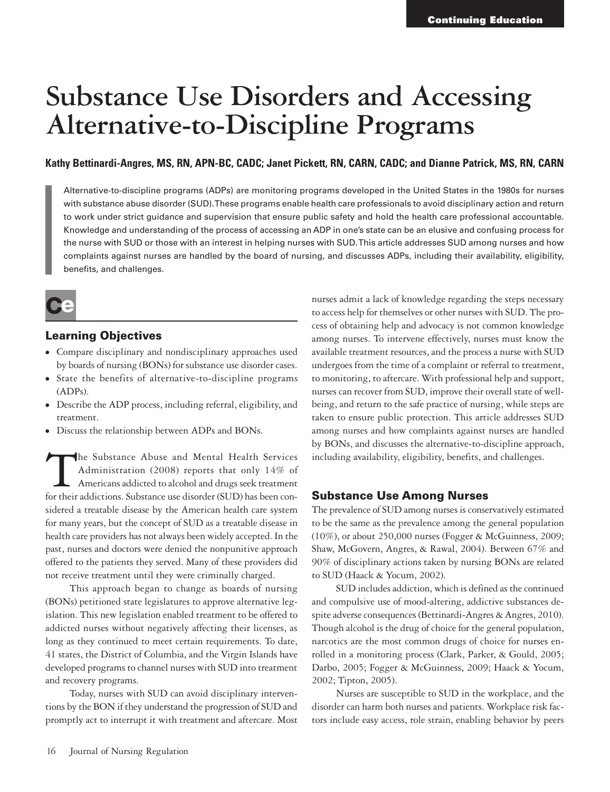# **Substance Use Disorders and Accessing Alternative-to-Discipline Programs**

**Kathy Bettinardi-Angres, MS, RN, APN-BC, CADC; Janet Pickett, RN, CARN, CADC; and Dianne Patrick, MS, RN, CARN**

Alternative-to-discipline programs (ADPs) are monitoring programs developed in the United States in the 1980s for nurses with substance abuse disorder (SUD). These programs enable health care professionals to avoid disciplinary action and return to work under strict guidance and supervision that ensure public safety and hold the health care professional accountable. Knowledge and understanding of the process of accessing an ADP in one's state can be an elusive and confusing process for the nurse with SUD or those with an interest in helping nurses with SUD. This article addresses SUD among nurses and how complaints against nurses are handled by the board of nursing, and discusses ADPs, including their availability, eligibility, benefits, and challenges.



# Learning Objectives

- <sup>⦁</sup> Compare disciplinary and nondisciplinary approaches used by boards of nursing (BONs) for substance use disorder cases.
- <sup>⦁</sup> State the benefits of alternative-to-discipline programs (ADPs).
- <sup>⦁</sup> Describe the ADP process, including referral, eligibility, and treatment.
- <sup>⦁</sup> Discuss the relationship between ADPs and BONs.

The Substance Abuse and Mental Health Services<br>Administration (2008) reports that only 14% of<br>Americans addicted to alcohol and drugs seek treatment<br>for their addictions. Substance use disorder (SUD) has been con-Administration (2008) reports that only 14% of Americans addicted to alcohol and drugs seek treatment for their addictions. Substance use disorder (SUD) has been considered a treatable disease by the American health care system for many years, but the concept of SUD as a treatable disease in health care providers has not always been widely accepted. In the past, nurses and doctors were denied the nonpunitive approach offered to the patients they served. Many of these providers did not receive treatment until they were criminally charged.

This approach began to change as boards of nursing (BONs) petitioned state legislatures to approve alternative legislation. This new legislation enabled treatment to be offered to addicted nurses without negatively affecting their licenses, as long as they continued to meet certain requirements. To date, 41 states, the District of Columbia, and the Virgin Islands have developed programs to channel nurses with SUD into treatment and recovery programs.

Today, nurses with SUD can avoid disciplinary interventions by the BON if they understand the progression of SUD and promptly act to interrupt it with treatment and aftercare. Most

nurses admit a lack of knowledge regarding the steps necessary to access help for themselves or other nurses with SUD. The process of obtaining help and advocacy is not common knowledge among nurses. To intervene effectively, nurses must know the available treatment resources, and the process a nurse with SUD undergoes from the time of a complaint or referral to treatment, to monitoring, to aftercare. With professional help and support, nurses can recover from SUD, improve their overall state of wellbeing, and return to the safe practice of nursing, while steps are taken to ensure public protection. This article addresses SUD among nurses and how complaints against nurses are handled by BONs, and discusses the alternative-to-discipline approach, including availability, eligibility, benefits, and challenges.

## Substance Use Among Nurses

The prevalence of SUD among nurses is conservatively estimated to be the same as the prevalence among the general population (10%), or about 250,000 nurses (Fogger & McGuinness, 2009; Shaw, McGovern, Angres, & Rawal, 2004). Between 67% and 90% of disciplinary actions taken by nursing BONs are related to SUD (Haack & Yocum, 2002).

SUD includes addiction, which is defined as the continued and compulsive use of mood-altering, addictive substances despite adverse consequences (Bettinardi-Angres & Angres, 2010). Though alcohol is the drug of choice for the general population, narcotics are the most common drugs of choice for nurses enrolled in a monitoring process (Clark, Parker, & Gould, 2005; Darbo, 2005; Fogger & McGuinness, 2009; Haack & Yocum, 2002; Tipton, 2005).

Nurses are susceptible to SUD in the workplace, and the disorder can harm both nurses and patients. Workplace risk factors include easy access, role strain, enabling behavior by peers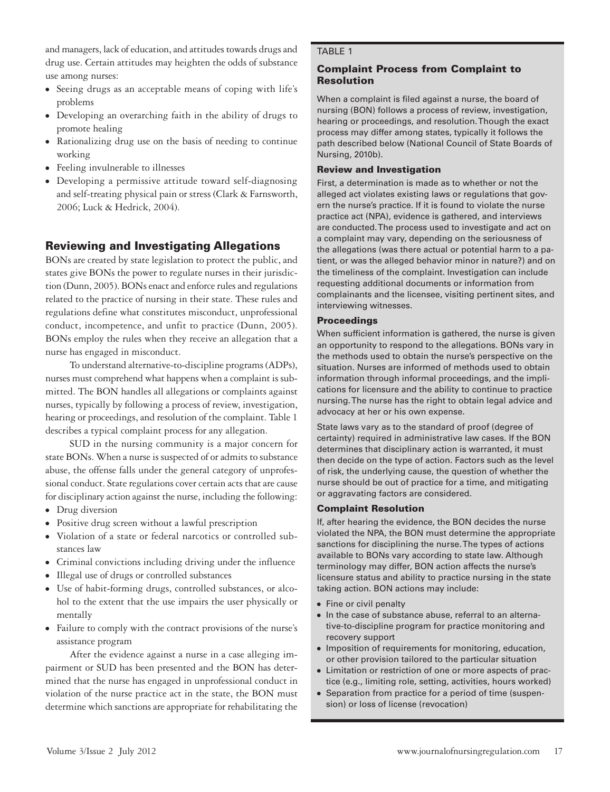and managers, lack of education, and attitudes towards drugs and drug use. Certain attitudes may heighten the odds of substance use among nurses:

- <sup>⦁</sup> Seeing drugs as an acceptable means of coping with life's problems
- <sup>⦁</sup> Developing an overarching faith in the ability of drugs to promote healing
- <sup>⦁</sup> Rationalizing drug use on the basis of needing to continue working
- <sup>⦁</sup> Feeling invulnerable to illnesses
- <sup>⦁</sup> Developing a permissive attitude toward self-diagnosing and self-treating physical pain or stress (Clark & Farnsworth, 2006; Luck & Hedrick, 2004).

# Reviewing and Investigating Allegations

BONs are created by state legislation to protect the public, and states give BONs the power to regulate nurses in their jurisdiction (Dunn, 2005). BONs enact and enforce rules and regulations related to the practice of nursing in their state. These rules and regulations define what constitutes misconduct, unprofessional conduct, incompetence, and unfit to practice (Dunn, 2005). BONs employ the rules when they receive an allegation that a nurse has engaged in misconduct.

To understand alternative-to-discipline programs (ADPs), nurses must comprehend what happens when a complaint is submitted. The BON handles all allegations or complaints against nurses, typically by following a process of review, investigation, hearing or proceedings, and resolution of the complaint. Table 1 describes a typical complaint process for any allegation.

SUD in the nursing community is a major concern for state BONs. When a nurse is suspected of or admits to substance abuse, the offense falls under the general category of unprofessional conduct. State regulations cover certain acts that are cause for disciplinary action against the nurse, including the following:

- <sup>⦁</sup> Drug diversion
- <sup>⦁</sup> Positive drug screen without a lawful prescription
- <sup>⦁</sup> Violation of a state or federal narcotics or controlled substances law
- <sup>⦁</sup> Criminal convictions including driving under the influence
- <sup>⦁</sup> Illegal use of drugs or controlled substances
- <sup>⦁</sup> Use of habit-forming drugs, controlled substances, or alcohol to the extent that the use impairs the user physically or mentally
- <sup>⦁</sup> Failure to comply with the contract provisions of the nurse's assistance program

After the evidence against a nurse in a case alleging impairment or SUD has been presented and the BON has determined that the nurse has engaged in unprofessional conduct in violation of the nurse practice act in the state, the BON must determine which sanctions are appropriate for rehabilitating the

## Table 1

## Complaint Process from Complaint to Resolution

When a complaint is filed against a nurse, the board of nursing (BON) follows a process of review, investigation, hearing or proceedings, and resolution. Though the exact process may differ among states, typically it follows the path described below (National Council of State Boards of Nursing, 2010b).

## Review and Investigation

First, a determination is made as to whether or not the alleged act violates existing laws or regulations that govern the nurse's practice. If it is found to violate the nurse practice act (NPA), evidence is gathered, and interviews are conducted. The process used to investigate and act on a complaint may vary, depending on the seriousness of the allegations (was there actual or potential harm to a patient, or was the alleged behavior minor in nature?) and on the timeliness of the complaint. Investigation can include requesting additional documents or information from complainants and the licensee, visiting pertinent sites, and interviewing witnesses.

#### **Proceedings**

When sufficient information is gathered, the nurse is given an opportunity to respond to the allegations. BONs vary in the methods used to obtain the nurse's perspective on the situation. Nurses are informed of methods used to obtain information through informal proceedings, and the implications for licensure and the ability to continue to practice nursing. The nurse has the right to obtain legal advice and advocacy at her or his own expense.

State laws vary as to the standard of proof (degree of certainty) required in administrative law cases. If the BON determines that disciplinary action is warranted, it must then decide on the type of action. Factors such as the level of risk, the underlying cause, the question of whether the nurse should be out of practice for a time, and mitigating or aggravating factors are considered.

## Complaint Resolution

If, after hearing the evidence, the BON decides the nurse violated the NPA, the BON must determine the appropriate sanctions for disciplining the nurse. The types of actions available to BONs vary according to state law. Although terminology may differ, BON action affects the nurse's licensure status and ability to practice nursing in the state taking action. BON actions may include:

- ⦁ Fine or civil penalty
- ⦁ In the case of substance abuse, referral to an alternative-to-discipline program for practice monitoring and recovery support
- ⦁ Imposition of requirements for monitoring, education, or other provision tailored to the particular situation
- ⦁ Limitation or restriction of one or more aspects of practice (e.g., limiting role, setting, activities, hours worked)
- ⦁ Separation from practice for a period of time (suspension) or loss of license (revocation)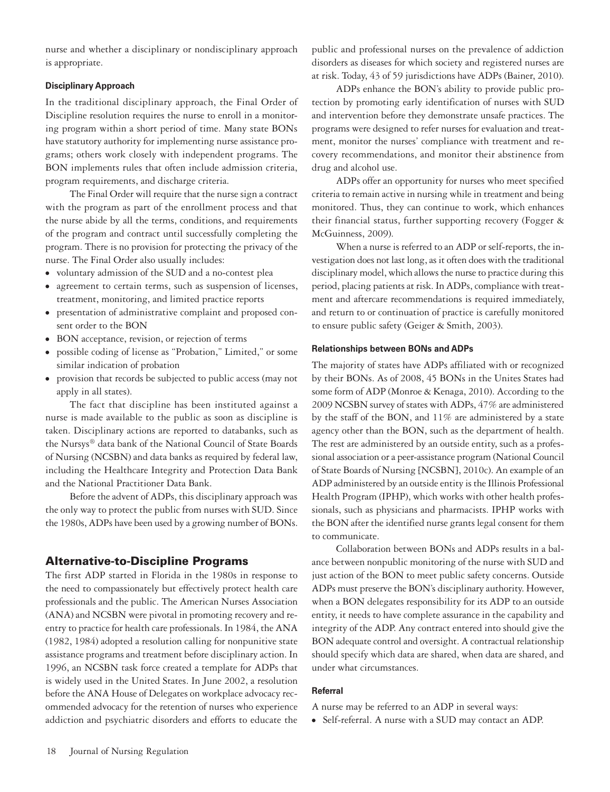nurse and whether a disciplinary or nondisciplinary approach is appropriate.

#### **Disciplinary Approach**

In the traditional disciplinary approach, the Final Order of Discipline resolution requires the nurse to enroll in a monitoring program within a short period of time. Many state BONs have statutory authority for implementing nurse assistance programs; others work closely with independent programs. The BON implements rules that often include admission criteria, program requirements, and discharge criteria.

The Final Order will require that the nurse sign a contract with the program as part of the enrollment process and that the nurse abide by all the terms, conditions, and requirements of the program and contract until successfully completing the program. There is no provision for protecting the privacy of the nurse. The Final Order also usually includes:

- <sup>⦁</sup> voluntary admission of the SUD and a no-contest plea
- <sup>⦁</sup> agreement to certain terms, such as suspension of licenses, treatment, monitoring, and limited practice reports
- <sup>⦁</sup> presentation of administrative complaint and proposed consent order to the BON
- <sup>⦁</sup> BON acceptance, revision, or rejection of terms
- <sup>⦁</sup> possible coding of license as "Probation," Limited," or some similar indication of probation
- <sup>⦁</sup> provision that records be subjected to public access (may not apply in all states).

The fact that discipline has been instituted against a nurse is made available to the public as soon as discipline is taken. Disciplinary actions are reported to databanks, such as the Nursys® data bank of the National Council of State Boards of Nursing (NCSBN) and data banks as required by federal law, including the Healthcare Integrity and Protection Data Bank and the National Practitioner Data Bank.

Before the advent of ADPs, this disciplinary approach was the only way to protect the public from nurses with SUD. Since the 1980s, ADPs have been used by a growing number of BONs.

# Alternative-to-Discipline Programs

The first ADP started in Florida in the 1980s in response to the need to compassionately but effectively protect health care professionals and the public. The American Nurses Association (ANA) and NCSBN were pivotal in promoting recovery and reentry to practice for health care professionals. In 1984, the ANA (1982, 1984) adopted a resolution calling for nonpunitive state assistance programs and treatment before disciplinary action. In 1996, an NCSBN task force created a template for ADPs that is widely used in the United States. In June 2002, a resolution before the ANA House of Delegates on workplace advocacy recommended advocacy for the retention of nurses who experience addiction and psychiatric disorders and efforts to educate the

public and professional nurses on the prevalence of addiction disorders as diseases for which society and registered nurses are at risk. Today, 43 of 59 jurisdictions have ADPs (Bainer, 2010).

ADPs enhance the BON's ability to provide public protection by promoting early identification of nurses with SUD and intervention before they demonstrate unsafe practices. The programs were designed to refer nurses for evaluation and treatment, monitor the nurses' compliance with treatment and recovery recommendations, and monitor their abstinence from drug and alcohol use.

ADPs offer an opportunity for nurses who meet specified criteria to remain active in nursing while in treatment and being monitored. Thus, they can continue to work, which enhances their financial status, further supporting recovery (Fogger & McGuinness, 2009).

When a nurse is referred to an ADP or self-reports, the investigation does not last long, as it often does with the traditional disciplinary model, which allows the nurse to practice during this period, placing patients at risk. In ADPs, compliance with treatment and aftercare recommendations is required immediately, and return to or continuation of practice is carefully monitored to ensure public safety (Geiger & Smith, 2003).

## **Relationships between BONs and ADPs**

The majority of states have ADPs affiliated with or recognized by their BONs. As of 2008, 45 BONs in the Unites States had some form of ADP (Monroe & Kenaga, 2010). According to the 2009 NCSBN survey of states with ADPs, 47% are administered by the staff of the BON, and 11% are administered by a state agency other than the BON, such as the department of health. The rest are administered by an outside entity, such as a professional association or a peer-assistance program (National Council of State Boards of Nursing [NCSBN], 2010c). An example of an ADP administered by an outside entity is the Illinois Professional Health Program (IPHP), which works with other health professionals, such as physicians and pharmacists. IPHP works with the BON after the identified nurse grants legal consent for them to communicate.

Collaboration between BONs and ADPs results in a balance between nonpublic monitoring of the nurse with SUD and just action of the BON to meet public safety concerns. Outside ADPs must preserve the BON's disciplinary authority. However, when a BON delegates responsibility for its ADP to an outside entity, it needs to have complete assurance in the capability and integrity of the ADP. Any contract entered into should give the BON adequate control and oversight. A contractual relationship should specify which data are shared, when data are shared, and under what circumstances.

#### **Referral**

- A nurse may be referred to an ADP in several ways:
- <sup>⦁</sup> Self-referral. A nurse with a SUD may contact an ADP.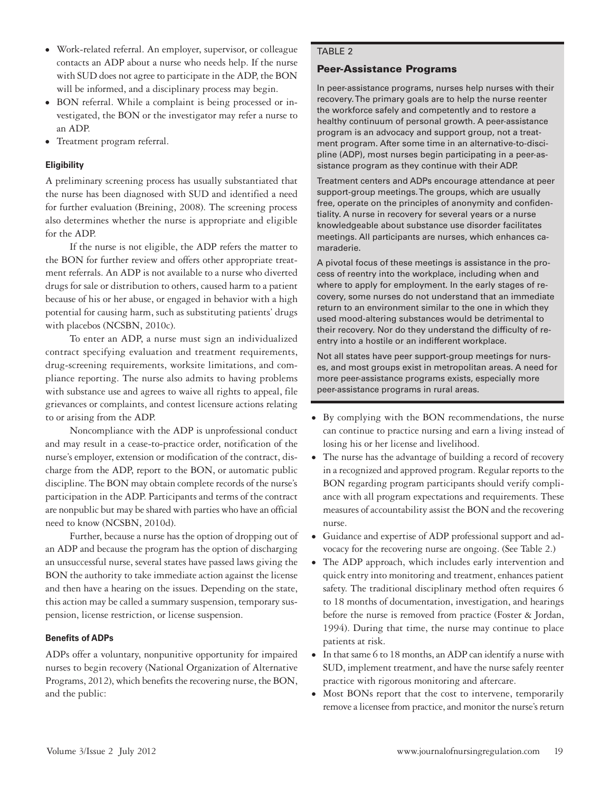- <sup>⦁</sup> BON referral. While a complaint is being processed or investigated, the BON or the investigator may refer a nurse to an ADP.
- <sup>⦁</sup> Treatment program referral.

# **Eligibility**

A preliminary screening process has usually substantiated that the nurse has been diagnosed with SUD and identified a need for further evaluation (Breining, 2008). The screening process also determines whether the nurse is appropriate and eligible for the ADP.

If the nurse is not eligible, the ADP refers the matter to the BON for further review and offers other appropriate treatment referrals. An ADP is not available to a nurse who diverted drugs for sale or distribution to others, caused harm to a patient because of his or her abuse, or engaged in behavior with a high potential for causing harm, such as substituting patients' drugs with placebos (NCSBN, 2010c).

To enter an ADP, a nurse must sign an individualized contract specifying evaluation and treatment requirements, drug-screening requirements, worksite limitations, and compliance reporting. The nurse also admits to having problems with substance use and agrees to waive all rights to appeal, file grievances or complaints, and contest licensure actions relating to or arising from the ADP.

Noncompliance with the ADP is unprofessional conduct and may result in a cease-to-practice order, notification of the nurse's employer, extension or modification of the contract, discharge from the ADP, report to the BON, or automatic public discipline. The BON may obtain complete records of the nurse's participation in the ADP. Participants and terms of the contract are nonpublic but may be shared with parties who have an official need to know (NCSBN, 2010d).

Further, because a nurse has the option of dropping out of an ADP and because the program has the option of discharging an unsuccessful nurse, several states have passed laws giving the BON the authority to take immediate action against the license and then have a hearing on the issues. Depending on the state, this action may be called a summary suspension, temporary suspension, license restriction, or license suspension.

# **Benefits of ADPs**

ADPs offer a voluntary, nonpunitive opportunity for impaired nurses to begin recovery (National Organization of Alternative Programs, 2012), which benefits the recovering nurse, the BON, and the public:

# Table 2

# Peer-Assistance Programs

In peer-assistance programs, nurses help nurses with their recovery. The primary goals are to help the nurse reenter the workforce safely and competently and to restore a healthy continuum of personal growth. A peer-assistance program is an advocacy and support group, not a treatment program. After some time in an alternative-to-discipline (ADP), most nurses begin participating in a peer-assistance program as they continue with their ADP.

Treatment centers and ADPs encourage attendance at peer support-group meetings. The groups, which are usually free, operate on the principles of anonymity and confidentiality. A nurse in recovery for several years or a nurse knowledgeable about substance use disorder facilitates meetings. All participants are nurses, which enhances camaraderie.

A pivotal focus of these meetings is assistance in the process of reentry into the workplace, including when and where to apply for employment. In the early stages of recovery, some nurses do not understand that an immediate return to an environment similar to the one in which they used mood-altering substances would be detrimental to their recovery. Nor do they understand the difficulty of reentry into a hostile or an indifferent workplace.

Not all states have peer support-group meetings for nurses, and most groups exist in metropolitan areas. A need for more peer-assistance programs exists, especially more peer-assistance programs in rural areas.

- <sup>⦁</sup> By complying with the BON recommendations, the nurse can continue to practice nursing and earn a living instead of losing his or her license and livelihood.
- <sup>⦁</sup> The nurse has the advantage of building a record of recovery in a recognized and approved program. Regular reports to the BON regarding program participants should verify compliance with all program expectations and requirements. These measures of accountability assist the BON and the recovering nurse.
- <sup>⦁</sup> Guidance and expertise of ADP professional support and advocacy for the recovering nurse are ongoing. (See Table 2.)
- <sup>⦁</sup> The ADP approach, which includes early intervention and quick entry into monitoring and treatment, enhances patient safety. The traditional disciplinary method often requires 6 to 18 months of documentation, investigation, and hearings before the nurse is removed from practice (Foster & Jordan, 1994). During that time, the nurse may continue to place patients at risk.
- In that same 6 to 18 months, an ADP can identify a nurse with SUD, implement treatment, and have the nurse safely reenter practice with rigorous monitoring and aftercare.
- <sup>⦁</sup> Most BONs report that the cost to intervene, temporarily remove a licensee from practice, and monitor the nurse's return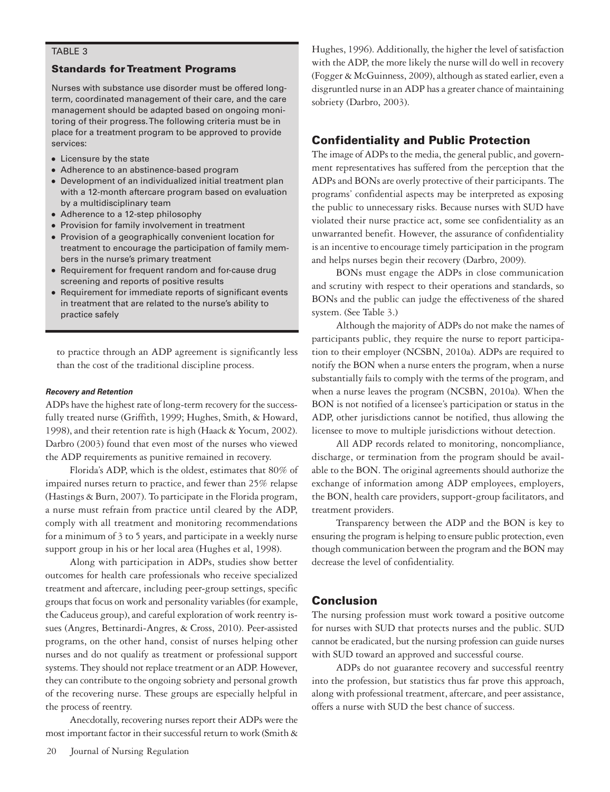## Table 3

#### Standards for Treatment Programs

Nurses with substance use disorder must be offered longterm, coordinated management of their care, and the care management should be adapted based on ongoing monitoring of their progress. The following criteria must be in place for a treatment program to be approved to provide services:

- ⦁ Licensure by the state
- ⦁ Adherence to an abstinence-based program
- ⦁ Development of an individualized initial treatment plan with a 12-month aftercare program based on evaluation by a multidisciplinary team
- ⦁ Adherence to a 12-step philosophy
- ⦁ Provision for family involvement in treatment
- ⦁ Provision of a geographically convenient location for treatment to encourage the participation of family members in the nurse's primary treatment
- ⦁ Requirement for frequent random and for-cause drug screening and reports of positive results
- ⦁ Requirement for immediate reports of significant events in treatment that are related to the nurse's ability to practice safely

to practice through an ADP agreement is significantly less than the cost of the traditional discipline process.

#### *Recovery and Retention*

ADPs have the highest rate of long-term recovery for the successfully treated nurse (Griffith, 1999; Hughes, Smith, & Howard, 1998), and their retention rate is high (Haack & Yocum, 2002). Darbro (2003) found that even most of the nurses who viewed the ADP requirements as punitive remained in recovery.

Florida's ADP, which is the oldest, estimates that 80% of impaired nurses return to practice, and fewer than 25% relapse (Hastings & Burn, 2007). To participate in the Florida program, a nurse must refrain from practice until cleared by the ADP, comply with all treatment and monitoring recommendations for a minimum of 3 to 5 years, and participate in a weekly nurse support group in his or her local area (Hughes et al, 1998).

Along with participation in ADPs, studies show better outcomes for health care professionals who receive specialized treatment and aftercare, including peer-group settings, specific groups that focus on work and personality variables (for example, the Caduceus group), and careful exploration of work reentry issues (Angres, Bettinardi-Angres, & Cross, 2010). Peer-assisted programs, on the other hand, consist of nurses helping other nurses and do not qualify as treatment or professional support systems. They should not replace treatment or an ADP. However, they can contribute to the ongoing sobriety and personal growth of the recovering nurse. These groups are especially helpful in the process of reentry.

Anecdotally, recovering nurses report their ADPs were the most important factor in their successful return to work (Smith &

Hughes, 1996). Additionally, the higher the level of satisfaction with the ADP, the more likely the nurse will do well in recovery (Fogger & McGuinness, 2009), although as stated earlier, even a disgruntled nurse in an ADP has a greater chance of maintaining sobriety (Darbro, 2003).

## Confidentiality and Public Protection

The image of ADPs to the media, the general public, and government representatives has suffered from the perception that the ADPs and BONs are overly protective of their participants. The programs' confidential aspects may be interpreted as exposing the public to unnecessary risks. Because nurses with SUD have violated their nurse practice act, some see confidentiality as an unwarranted benefit. However, the assurance of confidentiality is an incentive to encourage timely participation in the program and helps nurses begin their recovery (Darbro, 2009).

BONs must engage the ADPs in close communication and scrutiny with respect to their operations and standards, so BONs and the public can judge the effectiveness of the shared system. (See Table 3.)

Although the majority of ADPs do not make the names of participants public, they require the nurse to report participation to their employer (NCSBN, 2010a). ADPs are required to notify the BON when a nurse enters the program, when a nurse substantially fails to comply with the terms of the program, and when a nurse leaves the program (NCSBN, 2010a). When the BON is not notified of a licensee's participation or status in the ADP, other jurisdictions cannot be notified, thus allowing the licensee to move to multiple jurisdictions without detection.

All ADP records related to monitoring, noncompliance, discharge, or termination from the program should be available to the BON. The original agreements should authorize the exchange of information among ADP employees, employers, the BON, health care providers, support-group facilitators, and treatment providers.

Transparency between the ADP and the BON is key to ensuring the program is helping to ensure public protection, even though communication between the program and the BON may decrease the level of confidentiality.

## Conclusion

The nursing profession must work toward a positive outcome for nurses with SUD that protects nurses and the public. SUD cannot be eradicated, but the nursing profession can guide nurses with SUD toward an approved and successful course.

ADPs do not guarantee recovery and successful reentry into the profession, but statistics thus far prove this approach, along with professional treatment, aftercare, and peer assistance, offers a nurse with SUD the best chance of success.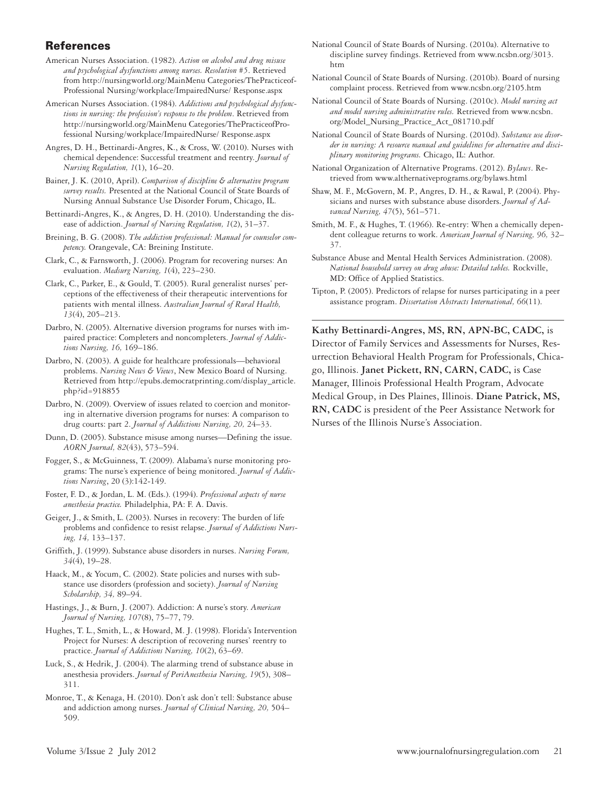## References

- American Nurses Association. (1982). *Action on alcohol and drug misuse and psychological dysfunctions among nurses. Resolution #5*. Retrieved from http://nursingworld.org/MainMenu Categories/ThePracticeof-Professional Nursing/workplace/ImpairedNurse/ Response.aspx
- American Nurses Association. (1984). *Addictions and psychological dysfunctions in nursing: the profession's response to the problem*. Retrieved from http://nursingworld.org/MainMenu Categories/ThePracticeofProfessional Nursing/workplace/ImpairedNurse/ Response.aspx
- Angres, D. H., Bettinardi-Angres, K., & Cross, W. (2010). Nurses with chemical dependence: Successful treatment and reentry. *Journal of Nursing Regulation, 1*(1), 16–20.
- Bainer, J. K. (2010, April). *Comparison of discipline & alternative program survey results.* Presented at the National Council of State Boards of Nursing Annual Substance Use Disorder Forum, Chicago, IL.
- Bettinardi-Angres, K., & Angres, D. H. (2010). Understanding the disease of addiction. *Journal of Nursing Regulation, 1*(2), 31–37.
- Breining, B. G. (2008). *The addiction professional: Manual for counselor competency.* Orangevale, CA: Breining Institute.
- Clark, C., & Farnsworth, J. (2006). Program for recovering nurses: An evaluation. *Medsurg Nursing, 1*(4), 223–230.
- Clark, C., Parker, E., & Gould, T. (2005). Rural generalist nurses' perceptions of the effectiveness of their therapeutic interventions for patients with mental illness. *Australian Journal of Rural Health, 13*(4), 205–213.
- Darbro, N. (2005). Alternative diversion programs for nurses with impaired practice: Completers and noncompleters. *Journal of Addictions Nursing, 16,* 169–186.
- Darbro, N. (2003). A guide for healthcare professionals—behavioral problems. *Nursing News & Views*, New Mexico Board of Nursing. Retrieved from http://epubs.democratprinting.com/display\_article. php?id=918855
- Darbro, N. (2009). Overview of issues related to coercion and monitoring in alternative diversion programs for nurses: A comparison to drug courts: part 2. *Journal of Addictions Nursing, 20,* 24–33.
- Dunn, D. (2005). Substance misuse among nurses—Defining the issue. *AORN Journal, 82*(43), 573–594.
- Fogger, S., & McGuinness, T. (2009). Alabama's nurse monitoring programs: The nurse's experience of being monitored. *Journal of Addictions Nursing*, 20 (3):142-149.
- Foster, F. D., & Jordan, L. M. (Eds.). (1994). *Professional aspects of nurse anesthesia practice.* Philadelphia, PA: F. A. Davis.
- Geiger, J., & Smith, L. (2003). Nurses in recovery: The burden of life problems and confidence to resist relapse. *Journal of Addictions Nursing, 14,* 133–137.
- Griffith, J. (1999). Substance abuse disorders in nurses. *Nursing Forum, 34*(4), 19–28.
- Haack, M., & Yocum, C. (2002). State policies and nurses with substance use disorders (profession and society). *Journal of Nursing Scholarship, 34,* 89–94.
- Hastings, J., & Burn, J. (2007). Addiction: A nurse's story. *American Journal of Nursing, 107*(8), 75–77, 79.
- Hughes, T. L., Smith, L., & Howard, M. J. (1998). Florida's Intervention Project for Nurses: A description of recovering nurses' reentry to practice. *Journal of Addictions Nursing, 10*(2), 63–69.
- Luck, S., & Hedrik, J. (2004). The alarming trend of substance abuse in anesthesia providers. *Journal of PeriAnesthesia Nursing, 19*(5), 308– 311.
- Monroe, T., & Kenaga, H. (2010). Don't ask don't tell: Substance abuse and addiction among nurses. *Journal of Clinical Nursing, 20,* 504– 509.
- National Council of State Boards of Nursing. (2010a). Alternative to discipline survey findings. Retrieved from www.ncsbn.org/3013. htm
- National Council of State Boards of Nursing. (2010b). Board of nursing complaint process. Retrieved from www.ncsbn.org/2105.htm
- National Council of State Boards of Nursing. (2010c). *Model nursing act and model nursing administrative rules.* Retrieved from www.ncsbn. org/Model\_Nursing\_Practice\_Act\_081710.pdf
- National Council of State Boards of Nursing. (2010d). *Substance use disorder in nursing: A resource manual and guidelines for alternative and disciplinary monitoring programs.* Chicago, IL: Author.
- National Organization of Alternative Programs. (2012). *Bylaws*. Retrieved from www.althernativeprograms.org/bylaws.html
- Shaw, M. F., McGovern, M. P., Angres, D. H., & Rawal, P. (2004). Physicians and nurses with substance abuse disorders. *Journal of Advanced Nursing, 47*(5), 561–571.
- Smith, M. F., & Hughes, T. (1966). Re-entry: When a chemically dependent colleague returns to work. *American Journal of Nursing, 96,* 32– 37.
- Substance Abuse and Mental Health Services Administration. (2008). *National household survey on drug abuse: Detailed tables.* Rockville, MD: Office of Applied Statistics.
- Tipton, P. (2005). Predictors of relapse for nurses participating in a peer assistance program. *Dissertation Abstracts International, 66*(11).

**Kathy Bettinardi-Angres, MS, RN, APN-BC, CADC,** is Director of Family Services and Assessments for Nurses, Resurrection Behavioral Health Program for Professionals, Chicago, Illinois. **Janet Pickett, RN, CARN, CADC,** is Case Manager, Illinois Professional Health Program, Advocate Medical Group, in Des Plaines, Illinois. **Diane Patrick, MS, RN, CADC** is president of the Peer Assistance Network for Nurses of the Illinois Nurse's Association.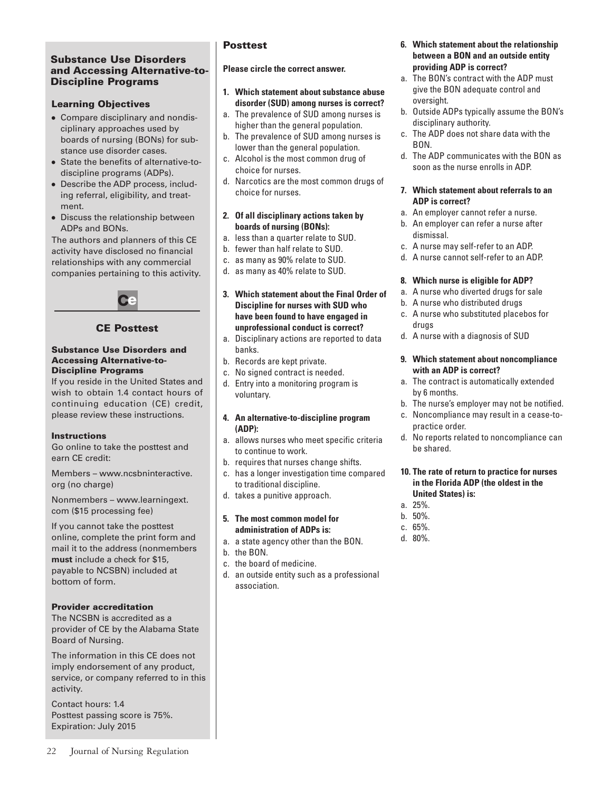## Substance Use Disorders and Accessing Alternative-to-Discipline Programs

## Learning Objectives

- ⦁ Compare disciplinary and nondisciplinary approaches used by boards of nursing (BONs) for substance use disorder cases.
- ⦁ State the benefits of alternative-todiscipline programs (ADPs).
- ⦁ Describe the ADP process, including referral, eligibility, and treatment.
- ⦁ Discuss the relationship between ADPs and BONs.

The authors and planners of this CE activity have disclosed no financial relationships with any commercial companies pertaining to this activity.



# CE Posttest

#### Substance Use Disorders and Accessing Alternative-to-Discipline Programs

If you reside in the United States and wish to obtain 1.4 contact hours of continuing education (CE) credit, please review these instructions.

## **Instructions**

Go online to take the posttest and earn CE credit:

Members – www.ncsbninteractive. org (no charge)

Nonmembers – www.learningext. com (\$15 processing fee)

If you cannot take the posttest online, complete the print form and mail it to the address (nonmembers **must** include a check for \$15, payable to NCSBN) included at bottom of form.

## Provider accreditation

The NCSBN is accredited as a provider of CE by the Alabama State Board of Nursing.

The information in this CE does not imply endorsement of any product, service, or company referred to in this activity.

Contact hours: 1.4 Posttest passing score is 75%. Expiration: July 2015

# Posttest

## **Please circle the correct answer.**

- **1. Which statement about substance abuse disorder (SUD) among nurses is correct?**
- a. The prevalence of SUD among nurses is higher than the general population.
- b. The prevalence of SUD among nurses is lower than the general population.
- c. Alcohol is the most common drug of choice for nurses.
- d. Narcotics are the most common drugs of choice for nurses.

## **2. Of all disciplinary actions taken by boards of nursing (BONs):**

- a. less than a quarter relate to SUD.
- b. fewer than half relate to SUD.
- c. as many as 90% relate to SUD.
- d. as many as 40% relate to SUD.
- **3. Which statement about the Final Order of Discipline for nurses with SUD who have been found to have engaged in unprofessional conduct is correct?**
- a. Disciplinary actions are reported to data banks.
- b. Records are kept private.
- c. No signed contract is needed.
- d. Entry into a monitoring program is voluntary.

## **4. An alternative-to-discipline program (ADP):**

- a. allows nurses who meet specific criteria to continue to work.
- b. requires that nurses change shifts.
- c. has a longer investigation time compared to traditional discipline.
- d. takes a punitive approach.

# **5. The most common model for administration of ADPs is:**

- a. a state agency other than the BON.
- b. the BON.
- c. the board of medicine.
- d. an outside entity such as a professional association.
- **6. Which statement about the relationship between a BON and an outside entity providing ADP is correct?**
- a. The BON's contract with the ADP must give the BON adequate control and oversight.
- b. Outside ADPs typically assume the BON's disciplinary authority.
- c. The ADP does not share data with the BON.
- d. The ADP communicates with the BON as soon as the nurse enrolls in ADP.

## **7. Which statement about referrals to an ADP is correct?**

- a. An employer cannot refer a nurse.
- b. An employer can refer a nurse after dismissal.
- c. A nurse may self-refer to an ADP.
- d. A nurse cannot self-refer to an ADP.

## **8. Which nurse is eligible for ADP?**

- a. A nurse who diverted drugs for sale
- b. A nurse who distributed drugs
- c. A nurse who substituted placebos for drugs
- d. A nurse with a diagnosis of SUD

## **9. Which statement about noncompliance with an ADP is correct?**

- a. The contract is automatically extended by 6 months.
- b. The nurse's employer may not be notified.
- c. Noncompliance may result in a cease-topractice order.
- d. No reports related to noncompliance can be shared.

## **10. The rate of return to practice for nurses in the Florida ADP (the oldest in the United States) is:**

- a.  $25%$ .
- b. 50%.
- c. 65%.
- d. 80%.